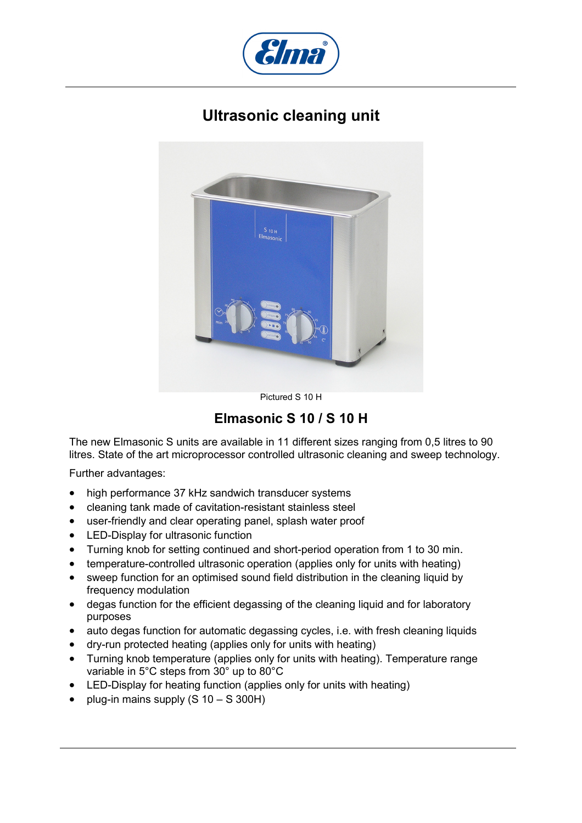

## **Ultrasonic cleaning unit**



Pictured S 10 H

**Elmasonic S 10 / S 10 H** 

The new Elmasonic S units are available in 11 different sizes ranging from 0,5 litres to 90 litres. State of the art microprocessor controlled ultrasonic cleaning and sweep technology.

Further advantages:

- high performance 37 kHz sandwich transducer systems
- cleaning tank made of cavitation-resistant stainless steel
- user-friendly and clear operating panel, splash water proof
- LED-Display for ultrasonic function
- Turning knob for setting continued and short-period operation from 1 to 30 min.
- temperature-controlled ultrasonic operation (applies only for units with heating)
- sweep function for an optimised sound field distribution in the cleaning liquid by frequency modulation
- degas function for the efficient degassing of the cleaning liquid and for laboratory purposes
- auto degas function for automatic degassing cycles, i.e. with fresh cleaning liquids
- dry-run protected heating (applies only for units with heating)
- Turning knob temperature (applies only for units with heating). Temperature range variable in 5°C steps from 30° up to 80°C
- LED-Display for heating function (applies only for units with heating)
- plug-in mains supply  $(S 10 S 300H)$